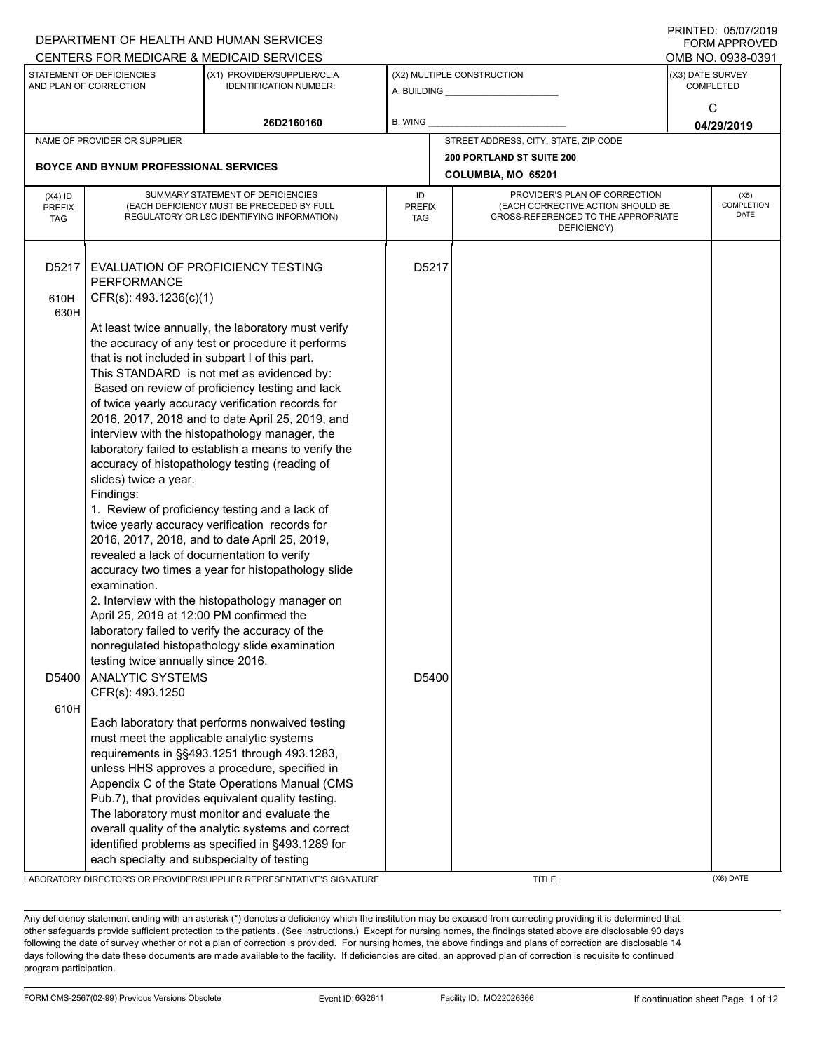|                                          |                                                                                                                                                                                                                                                                                      | DEPARTMENT OF HEALTH AND HUMAN SERVICES                                                                                                                                                                                                                                                                                                                                                                                                                                                                                                                                                                                                                                                                                                                                                                                                         |                     |                                                                                                                          |                                      | <b>FORM APPROVED</b>              |  |
|------------------------------------------|--------------------------------------------------------------------------------------------------------------------------------------------------------------------------------------------------------------------------------------------------------------------------------------|-------------------------------------------------------------------------------------------------------------------------------------------------------------------------------------------------------------------------------------------------------------------------------------------------------------------------------------------------------------------------------------------------------------------------------------------------------------------------------------------------------------------------------------------------------------------------------------------------------------------------------------------------------------------------------------------------------------------------------------------------------------------------------------------------------------------------------------------------|---------------------|--------------------------------------------------------------------------------------------------------------------------|--------------------------------------|-----------------------------------|--|
|                                          |                                                                                                                                                                                                                                                                                      | CENTERS FOR MEDICARE & MEDICAID SERVICES                                                                                                                                                                                                                                                                                                                                                                                                                                                                                                                                                                                                                                                                                                                                                                                                        |                     |                                                                                                                          |                                      | OMB NO. 0938-0391                 |  |
|                                          | STATEMENT OF DEFICIENCIES<br>(X1) PROVIDER/SUPPLIER/CLIA<br>AND PLAN OF CORRECTION<br><b>IDENTIFICATION NUMBER:</b>                                                                                                                                                                  |                                                                                                                                                                                                                                                                                                                                                                                                                                                                                                                                                                                                                                                                                                                                                                                                                                                 |                     | (X2) MULTIPLE CONSTRUCTION                                                                                               | (X3) DATE SURVEY<br><b>COMPLETED</b> |                                   |  |
|                                          |                                                                                                                                                                                                                                                                                      | 26D2160160                                                                                                                                                                                                                                                                                                                                                                                                                                                                                                                                                                                                                                                                                                                                                                                                                                      | <b>B. WING</b>      |                                                                                                                          | C<br>04/29/2019                      |                                   |  |
|                                          | NAME OF PROVIDER OR SUPPLIER                                                                                                                                                                                                                                                         |                                                                                                                                                                                                                                                                                                                                                                                                                                                                                                                                                                                                                                                                                                                                                                                                                                                 |                     | STREET ADDRESS, CITY, STATE, ZIP CODE                                                                                    |                                      |                                   |  |
|                                          |                                                                                                                                                                                                                                                                                      |                                                                                                                                                                                                                                                                                                                                                                                                                                                                                                                                                                                                                                                                                                                                                                                                                                                 |                     | <b>200 PORTLAND ST SUITE 200</b>                                                                                         |                                      |                                   |  |
|                                          | <b>BOYCE AND BYNUM PROFESSIONAL SERVICES</b>                                                                                                                                                                                                                                         |                                                                                                                                                                                                                                                                                                                                                                                                                                                                                                                                                                                                                                                                                                                                                                                                                                                 |                     | COLUMBIA, MO 65201                                                                                                       |                                      |                                   |  |
| $(X4)$ ID<br><b>PREFIX</b><br><b>TAG</b> |                                                                                                                                                                                                                                                                                      | SUMMARY STATEMENT OF DEFICIENCIES<br>(EACH DEFICIENCY MUST BE PRECEDED BY FULL<br>REGULATORY OR LSC IDENTIFYING INFORMATION)                                                                                                                                                                                                                                                                                                                                                                                                                                                                                                                                                                                                                                                                                                                    | ID<br>PREFIX<br>TAG | PROVIDER'S PLAN OF CORRECTION<br>(EACH CORRECTIVE ACTION SHOULD BE<br>CROSS-REFERENCED TO THE APPROPRIATE<br>DEFICIENCY) |                                      | (X5)<br><b>COMPLETION</b><br>DATE |  |
| D5217                                    | PERFORMANCE                                                                                                                                                                                                                                                                          | EVALUATION OF PROFICIENCY TESTING                                                                                                                                                                                                                                                                                                                                                                                                                                                                                                                                                                                                                                                                                                                                                                                                               | D5217               |                                                                                                                          |                                      |                                   |  |
| 610H<br>630H                             | CFR(s): 493.1236(c)(1)                                                                                                                                                                                                                                                               |                                                                                                                                                                                                                                                                                                                                                                                                                                                                                                                                                                                                                                                                                                                                                                                                                                                 |                     |                                                                                                                          |                                      |                                   |  |
| D5400                                    | that is not included in subpart I of this part.<br>slides) twice a year.<br>Findings:<br>revealed a lack of documentation to verify<br>examination.<br>April 25, 2019 at 12:00 PM confirmed the<br>testing twice annually since 2016.<br><b>ANALYTIC SYSTEMS</b><br>CFR(s): 493.1250 | At least twice annually, the laboratory must verify<br>the accuracy of any test or procedure it performs<br>This STANDARD is not met as evidenced by:<br>Based on review of proficiency testing and lack<br>of twice yearly accuracy verification records for<br>2016, 2017, 2018 and to date April 25, 2019, and<br>interview with the histopathology manager, the<br>laboratory failed to establish a means to verify the<br>accuracy of histopathology testing (reading of<br>1. Review of proficiency testing and a lack of<br>twice yearly accuracy verification records for<br>2016, 2017, 2018, and to date April 25, 2019,<br>accuracy two times a year for histopathology slide<br>2. Interview with the histopathology manager on<br>laboratory failed to verify the accuracy of the<br>nonregulated histopathology slide examination | D5400               |                                                                                                                          |                                      |                                   |  |
| 610H                                     | must meet the applicable analytic systems<br>each specialty and subspecialty of testing                                                                                                                                                                                              | Each laboratory that performs nonwaived testing<br>requirements in §§493.1251 through 493.1283,<br>unless HHS approves a procedure, specified in<br>Appendix C of the State Operations Manual (CMS<br>Pub.7), that provides equivalent quality testing.<br>The laboratory must monitor and evaluate the<br>overall quality of the analytic systems and correct<br>identified problems as specified in §493.1289 for                                                                                                                                                                                                                                                                                                                                                                                                                             |                     |                                                                                                                          |                                      |                                   |  |
|                                          |                                                                                                                                                                                                                                                                                      | LABORATORY DIRECTOR'S OR PROVIDER/SUPPLIER REPRESENTATIVE'S SIGNATURE                                                                                                                                                                                                                                                                                                                                                                                                                                                                                                                                                                                                                                                                                                                                                                           |                     | <b>TITLE</b>                                                                                                             |                                      | (X6) DATE                         |  |

PRINTED: 05/07/2019  $F$ 

Any deficiency statement ending with an asterisk (\*) denotes a deficiency which the institution may be excused from correcting providing it is determined that other safeguards provide sufficient protection to the patients . (See instructions.) Except for nursing homes, the findings stated above are disclosable 90 days following the date of survey whether or not a plan of correction is provided. For nursing homes, the above findings and plans of correction are disclosable 14 days following the date these documents are made available to the facility. If deficiencies are cited, an approved plan of correction is requisite to continued program participation.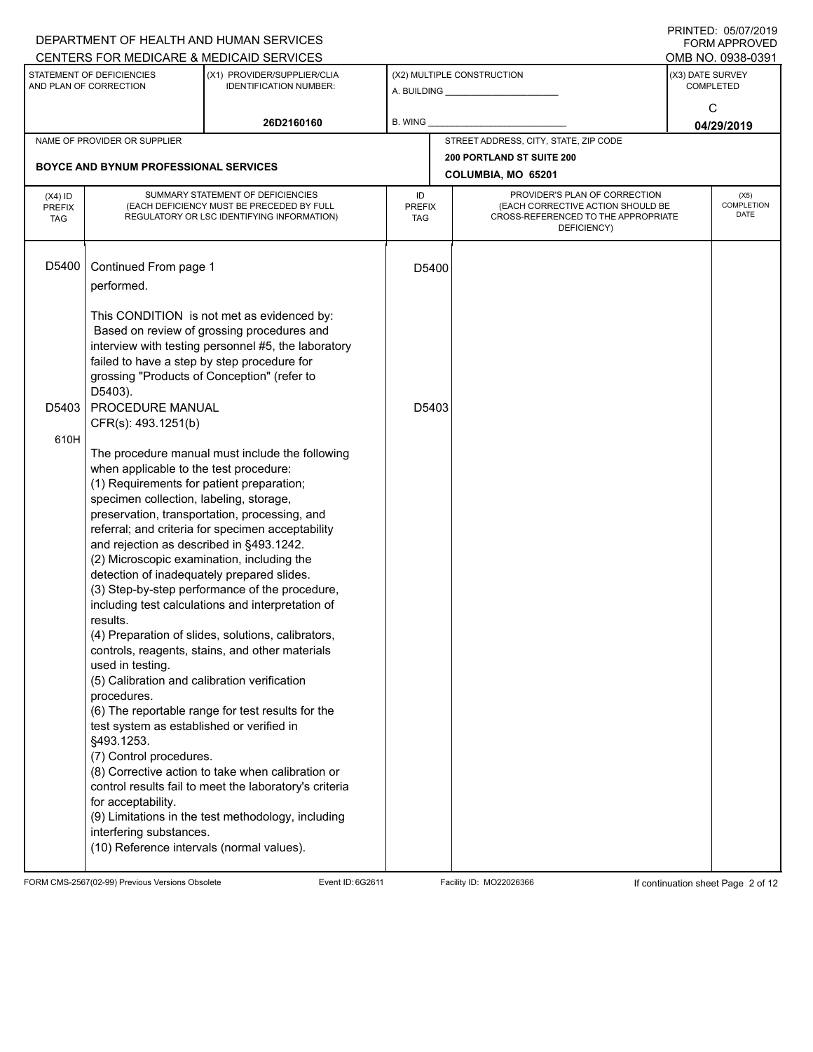|                                                                                                                     |                                                                                                                                                                                                                                                                                                                                                                                                                                                                                                                                                                                                                 | DEPARTMENT OF HEALTH AND HUMAN SERVICES<br>CENTERS FOR MEDICARE & MEDICAID SERVICES                                                                                                                                                                                                                                                                                                                                                                                                                                                                                                             |                                   |                                                 |                                                                                                                          |                                           |            | FININILU. VJIVIIZVIJ<br><b>FORM APPROVED</b><br>OMB NO. 0938-0391 |  |
|---------------------------------------------------------------------------------------------------------------------|-----------------------------------------------------------------------------------------------------------------------------------------------------------------------------------------------------------------------------------------------------------------------------------------------------------------------------------------------------------------------------------------------------------------------------------------------------------------------------------------------------------------------------------------------------------------------------------------------------------------|-------------------------------------------------------------------------------------------------------------------------------------------------------------------------------------------------------------------------------------------------------------------------------------------------------------------------------------------------------------------------------------------------------------------------------------------------------------------------------------------------------------------------------------------------------------------------------------------------|-----------------------------------|-------------------------------------------------|--------------------------------------------------------------------------------------------------------------------------|-------------------------------------------|------------|-------------------------------------------------------------------|--|
| STATEMENT OF DEFICIENCIES<br>(X1) PROVIDER/SUPPLIER/CLIA<br>AND PLAN OF CORRECTION<br><b>IDENTIFICATION NUMBER:</b> |                                                                                                                                                                                                                                                                                                                                                                                                                                                                                                                                                                                                                 |                                                                                                                                                                                                                                                                                                                                                                                                                                                                                                                                                                                                 |                                   | (X2) MULTIPLE CONSTRUCTION                      |                                                                                                                          | (X3) DATE SURVEY<br><b>COMPLETED</b><br>C |            |                                                                   |  |
|                                                                                                                     |                                                                                                                                                                                                                                                                                                                                                                                                                                                                                                                                                                                                                 | 26D2160160                                                                                                                                                                                                                                                                                                                                                                                                                                                                                                                                                                                      | <b>B. WING</b>                    |                                                 |                                                                                                                          |                                           | 04/29/2019 |                                                                   |  |
|                                                                                                                     | NAME OF PROVIDER OR SUPPLIER                                                                                                                                                                                                                                                                                                                                                                                                                                                                                                                                                                                    |                                                                                                                                                                                                                                                                                                                                                                                                                                                                                                                                                                                                 |                                   |                                                 | STREET ADDRESS, CITY, STATE, ZIP CODE                                                                                    |                                           |            |                                                                   |  |
|                                                                                                                     | <b>BOYCE AND BYNUM PROFESSIONAL SERVICES</b>                                                                                                                                                                                                                                                                                                                                                                                                                                                                                                                                                                    |                                                                                                                                                                                                                                                                                                                                                                                                                                                                                                                                                                                                 |                                   | 200 PORTLAND ST SUITE 200<br>COLUMBIA, MO 65201 |                                                                                                                          |                                           |            |                                                                   |  |
| $(X4)$ ID<br><b>PREFIX</b><br><b>TAG</b>                                                                            |                                                                                                                                                                                                                                                                                                                                                                                                                                                                                                                                                                                                                 | SUMMARY STATEMENT OF DEFICIENCIES<br>(EACH DEFICIENCY MUST BE PRECEDED BY FULL<br>REGULATORY OR LSC IDENTIFYING INFORMATION)                                                                                                                                                                                                                                                                                                                                                                                                                                                                    | ID<br><b>PREFIX</b><br><b>TAG</b> |                                                 | PROVIDER'S PLAN OF CORRECTION<br>(EACH CORRECTIVE ACTION SHOULD BE<br>CROSS-REFERENCED TO THE APPROPRIATE<br>DEFICIENCY) |                                           |            | (X5)<br>COMPLETION<br><b>DATE</b>                                 |  |
| D5400                                                                                                               | Continued From page 1<br>performed.<br>failed to have a step by step procedure for<br>grossing "Products of Conception" (refer to                                                                                                                                                                                                                                                                                                                                                                                                                                                                               | This CONDITION is not met as evidenced by:<br>Based on review of grossing procedures and<br>interview with testing personnel #5, the laboratory                                                                                                                                                                                                                                                                                                                                                                                                                                                 | D5400                             |                                                 |                                                                                                                          |                                           |            |                                                                   |  |
| D5403<br>610H                                                                                                       | D5403).<br>PROCEDURE MANUAL<br>CFR(s): 493.1251(b)<br>when applicable to the test procedure:<br>(1) Requirements for patient preparation;<br>specimen collection, labeling, storage,<br>and rejection as described in §493.1242.<br>(2) Microscopic examination, including the<br>detection of inadequately prepared slides.<br>results.<br>used in testing.<br>(5) Calibration and calibration verification<br>procedures.<br>test system as established or verified in<br>§493.1253.<br>(7) Control procedures.<br>for acceptability.<br>interfering substances.<br>(10) Reference intervals (normal values). | The procedure manual must include the following<br>preservation, transportation, processing, and<br>referral; and criteria for specimen acceptability<br>(3) Step-by-step performance of the procedure,<br>including test calculations and interpretation of<br>(4) Preparation of slides, solutions, calibrators,<br>controls, reagents, stains, and other materials<br>(6) The reportable range for test results for the<br>(8) Corrective action to take when calibration or<br>control results fail to meet the laboratory's criteria<br>(9) Limitations in the test methodology, including | D5403                             |                                                 |                                                                                                                          |                                           |            |                                                                   |  |

FORM CMS-2567(02-99) Previous Versions Obsolete Event ID: 6G2611 Facility ID: MO22026366 If continuation sheet Page 2 of 12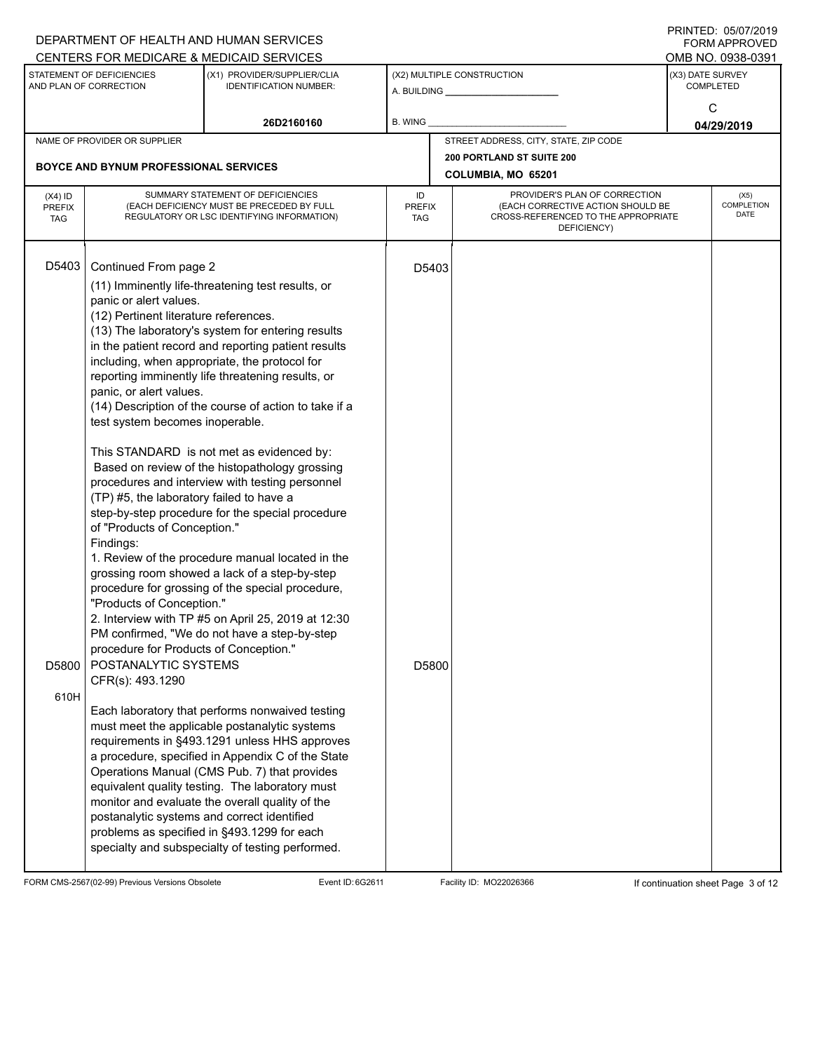|                               |                                                                                                                                                                                                                                                                                                                                                                                                                                                                                                                                                                                                                                                                                                                                                                                                                                                                                                                                                                                                                                                                                                                                                                                                                                                                                                                                                                                                                                                                                                                                                                                                                                                                                                                                                                                                                                                                                                                                                                |                                       |                                                               | FORM APPROVED                                                                                             |  |  |
|-------------------------------|----------------------------------------------------------------------------------------------------------------------------------------------------------------------------------------------------------------------------------------------------------------------------------------------------------------------------------------------------------------------------------------------------------------------------------------------------------------------------------------------------------------------------------------------------------------------------------------------------------------------------------------------------------------------------------------------------------------------------------------------------------------------------------------------------------------------------------------------------------------------------------------------------------------------------------------------------------------------------------------------------------------------------------------------------------------------------------------------------------------------------------------------------------------------------------------------------------------------------------------------------------------------------------------------------------------------------------------------------------------------------------------------------------------------------------------------------------------------------------------------------------------------------------------------------------------------------------------------------------------------------------------------------------------------------------------------------------------------------------------------------------------------------------------------------------------------------------------------------------------------------------------------------------------------------------------------------------------|---------------------------------------|---------------------------------------------------------------|-----------------------------------------------------------------------------------------------------------|--|--|
|                               |                                                                                                                                                                                                                                                                                                                                                                                                                                                                                                                                                                                                                                                                                                                                                                                                                                                                                                                                                                                                                                                                                                                                                                                                                                                                                                                                                                                                                                                                                                                                                                                                                                                                                                                                                                                                                                                                                                                                                                |                                       |                                                               | OMB NO. 0938-0391                                                                                         |  |  |
| <b>IDENTIFICATION NUMBER:</b> |                                                                                                                                                                                                                                                                                                                                                                                                                                                                                                                                                                                                                                                                                                                                                                                                                                                                                                                                                                                                                                                                                                                                                                                                                                                                                                                                                                                                                                                                                                                                                                                                                                                                                                                                                                                                                                                                                                                                                                |                                       | (X3) DATE SURVEY<br><b>COMPLETED</b>                          |                                                                                                           |  |  |
| 26D2160160                    | B. WING                                                                                                                                                                                                                                                                                                                                                                                                                                                                                                                                                                                                                                                                                                                                                                                                                                                                                                                                                                                                                                                                                                                                                                                                                                                                                                                                                                                                                                                                                                                                                                                                                                                                                                                                                                                                                                                                                                                                                        |                                       | C<br>04/29/2019                                               |                                                                                                           |  |  |
|                               |                                                                                                                                                                                                                                                                                                                                                                                                                                                                                                                                                                                                                                                                                                                                                                                                                                                                                                                                                                                                                                                                                                                                                                                                                                                                                                                                                                                                                                                                                                                                                                                                                                                                                                                                                                                                                                                                                                                                                                | STREET ADDRESS, CITY, STATE, ZIP CODE |                                                               |                                                                                                           |  |  |
|                               |                                                                                                                                                                                                                                                                                                                                                                                                                                                                                                                                                                                                                                                                                                                                                                                                                                                                                                                                                                                                                                                                                                                                                                                                                                                                                                                                                                                                                                                                                                                                                                                                                                                                                                                                                                                                                                                                                                                                                                | <b>200 PORTLAND ST SUITE 200</b>      |                                                               |                                                                                                           |  |  |
|                               |                                                                                                                                                                                                                                                                                                                                                                                                                                                                                                                                                                                                                                                                                                                                                                                                                                                                                                                                                                                                                                                                                                                                                                                                                                                                                                                                                                                                                                                                                                                                                                                                                                                                                                                                                                                                                                                                                                                                                                | COLUMBIA, MO 65201                    |                                                               |                                                                                                           |  |  |
|                               | ID<br>TAG                                                                                                                                                                                                                                                                                                                                                                                                                                                                                                                                                                                                                                                                                                                                                                                                                                                                                                                                                                                                                                                                                                                                                                                                                                                                                                                                                                                                                                                                                                                                                                                                                                                                                                                                                                                                                                                                                                                                                      | DEFICIENCY)                           |                                                               | (X5)<br><b>COMPLETION</b><br>DATE                                                                         |  |  |
|                               |                                                                                                                                                                                                                                                                                                                                                                                                                                                                                                                                                                                                                                                                                                                                                                                                                                                                                                                                                                                                                                                                                                                                                                                                                                                                                                                                                                                                                                                                                                                                                                                                                                                                                                                                                                                                                                                                                                                                                                |                                       |                                                               |                                                                                                           |  |  |
| CFR(s): 493.1290              | DEPARTMENT OF HEALTH AND HUMAN SERVICES<br>CENTERS FOR MEDICARE & MEDICAID SERVICES<br>(X1) PROVIDER/SUPPLIER/CLIA<br><b>BOYCE AND BYNUM PROFESSIONAL SERVICES</b><br>SUMMARY STATEMENT OF DEFICIENCIES<br>(EACH DEFICIENCY MUST BE PRECEDED BY FULL<br>REGULATORY OR LSC IDENTIFYING INFORMATION)<br>Continued From page 2<br>(11) Imminently life-threatening test results, or<br>panic or alert values.<br>(12) Pertinent literature references.<br>(13) The laboratory's system for entering results<br>in the patient record and reporting patient results<br>including, when appropriate, the protocol for<br>reporting imminently life threatening results, or<br>panic, or alert values.<br>(14) Description of the course of action to take if a<br>test system becomes inoperable.<br>This STANDARD is not met as evidenced by:<br>Based on review of the histopathology grossing<br>procedures and interview with testing personnel<br>(TP) #5, the laboratory failed to have a<br>step-by-step procedure for the special procedure<br>of "Products of Conception."<br>1. Review of the procedure manual located in the<br>grossing room showed a lack of a step-by-step<br>procedure for grossing of the special procedure,<br>"Products of Conception."<br>2. Interview with TP #5 on April 25, 2019 at 12:30<br>PM confirmed, "We do not have a step-by-step<br>procedure for Products of Conception."<br>POSTANALYTIC SYSTEMS<br>Each laboratory that performs nonwaived testing<br>must meet the applicable postanalytic systems<br>requirements in §493.1291 unless HHS approves<br>a procedure, specified in Appendix C of the State<br>Operations Manual (CMS Pub. 7) that provides<br>equivalent quality testing. The laboratory must<br>monitor and evaluate the overall quality of the<br>postanalytic systems and correct identified<br>problems as specified in §493.1299 for each<br>specialty and subspecialty of testing performed. |                                       | (X2) MULTIPLE CONSTRUCTION<br><b>PREFIX</b><br>D5403<br>D5800 | PROVIDER'S PLAN OF CORRECTION<br>(EACH CORRECTIVE ACTION SHOULD BE<br>CROSS-REFERENCED TO THE APPROPRIATE |  |  |

FORM CMS-2567(02-99) Previous Versions Obsolete Event ID: 6G2611 Facility ID: MO22026366 If continuation sheet Page 3 of 12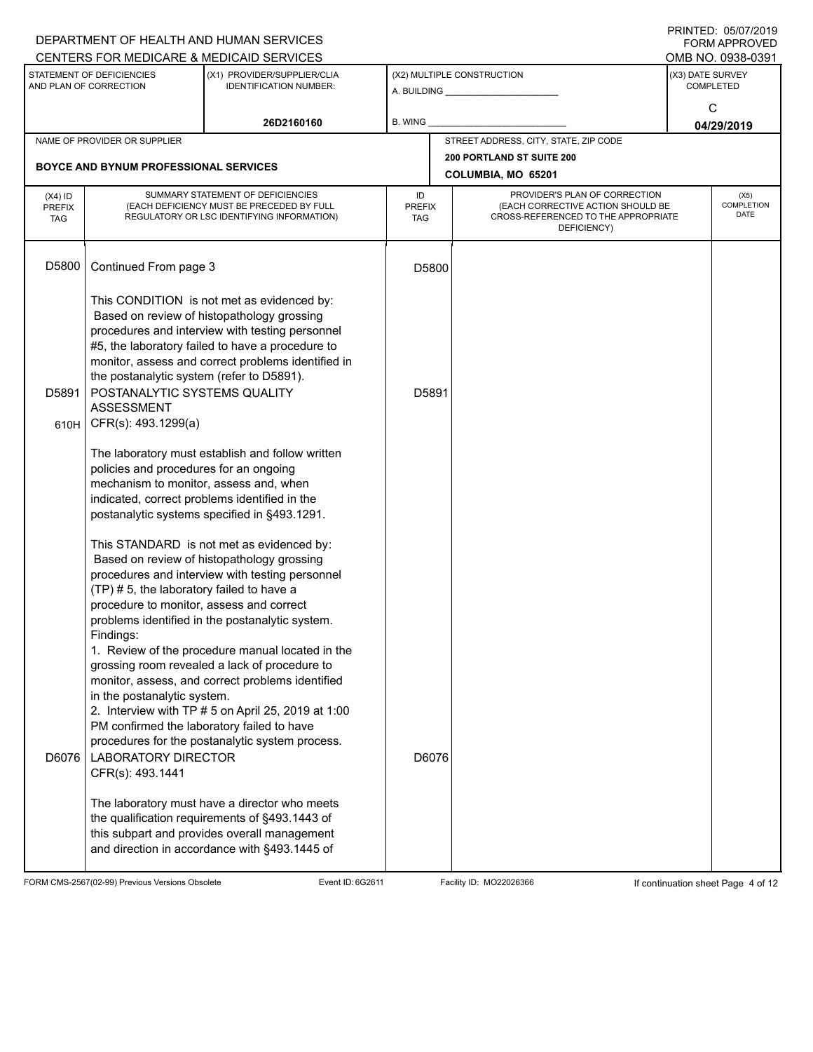|                                          |                                                                                                                                                                                                                                                                                                                                    | DEPARTMENT OF HEALTH AND HUMAN SERVICES<br>CENTERS FOR MEDICARE & MEDICAID SERVICES                                                                                                                                                                            |                                   |       |                                                                                                                          |                                      | FININILU. VJIVIIZVIJ<br>FORM APPROVED<br>OMB NO. 0938-0391 |  |  |  |
|------------------------------------------|------------------------------------------------------------------------------------------------------------------------------------------------------------------------------------------------------------------------------------------------------------------------------------------------------------------------------------|----------------------------------------------------------------------------------------------------------------------------------------------------------------------------------------------------------------------------------------------------------------|-----------------------------------|-------|--------------------------------------------------------------------------------------------------------------------------|--------------------------------------|------------------------------------------------------------|--|--|--|
|                                          | STATEMENT OF DEFICIENCIES<br>AND PLAN OF CORRECTION                                                                                                                                                                                                                                                                                | (X1) PROVIDER/SUPPLIER/CLIA<br><b>IDENTIFICATION NUMBER:</b>                                                                                                                                                                                                   |                                   |       | (X2) MULTIPLE CONSTRUCTION                                                                                               | (X3) DATE SURVEY<br><b>COMPLETED</b> |                                                            |  |  |  |
|                                          |                                                                                                                                                                                                                                                                                                                                    | 26D2160160                                                                                                                                                                                                                                                     | <b>B. WING</b>                    |       |                                                                                                                          | C<br>04/29/2019                      |                                                            |  |  |  |
|                                          | NAME OF PROVIDER OR SUPPLIER                                                                                                                                                                                                                                                                                                       |                                                                                                                                                                                                                                                                |                                   |       | STREET ADDRESS, CITY, STATE, ZIP CODE                                                                                    |                                      |                                                            |  |  |  |
|                                          | <b>BOYCE AND BYNUM PROFESSIONAL SERVICES</b>                                                                                                                                                                                                                                                                                       |                                                                                                                                                                                                                                                                |                                   |       | 200 PORTLAND ST SUITE 200<br>COLUMBIA, MO 65201                                                                          |                                      |                                                            |  |  |  |
| $(X4)$ ID<br><b>PREFIX</b><br><b>TAG</b> |                                                                                                                                                                                                                                                                                                                                    | SUMMARY STATEMENT OF DEFICIENCIES<br>(EACH DEFICIENCY MUST BE PRECEDED BY FULL<br>REGULATORY OR LSC IDENTIFYING INFORMATION)                                                                                                                                   | ID<br><b>PREFIX</b><br><b>TAG</b> |       | PROVIDER'S PLAN OF CORRECTION<br>(EACH CORRECTIVE ACTION SHOULD BE<br>CROSS-REFERENCED TO THE APPROPRIATE<br>DEFICIENCY) |                                      | (X5)<br>COMPLETION<br><b>DATE</b>                          |  |  |  |
| D5800                                    | Continued From page 3                                                                                                                                                                                                                                                                                                              |                                                                                                                                                                                                                                                                |                                   | D5800 |                                                                                                                          |                                      |                                                            |  |  |  |
| D5891                                    | This CONDITION is not met as evidenced by:<br>Based on review of histopathology grossing<br>procedures and interview with testing personnel<br>#5, the laboratory failed to have a procedure to<br>monitor, assess and correct problems identified in<br>the postanalytic system (refer to D5891).<br>POSTANALYTIC SYSTEMS QUALITY |                                                                                                                                                                                                                                                                | D5891                             |       |                                                                                                                          |                                      |                                                            |  |  |  |
| 610H                                     | <b>ASSESSMENT</b><br>CFR(s): 493.1299(a)                                                                                                                                                                                                                                                                                           |                                                                                                                                                                                                                                                                |                                   |       |                                                                                                                          |                                      |                                                            |  |  |  |
|                                          | The laboratory must establish and follow written<br>policies and procedures for an ongoing<br>mechanism to monitor, assess and, when<br>indicated, correct problems identified in the<br>postanalytic systems specified in §493.1291.                                                                                              |                                                                                                                                                                                                                                                                |                                   |       |                                                                                                                          |                                      |                                                            |  |  |  |
|                                          | (TP) # 5, the laboratory failed to have a<br>procedure to monitor, assess and correct<br>Findings:                                                                                                                                                                                                                                 | This STANDARD is not met as evidenced by:<br>Based on review of histopathology grossing<br>procedures and interview with testing personnel<br>problems identified in the postanalytic system.                                                                  |                                   |       |                                                                                                                          |                                      |                                                            |  |  |  |
| D6076                                    | in the postanalytic system.<br>PM confirmed the laboratory failed to have<br><b>LABORATORY DIRECTOR</b><br>CFR(s): 493.1441                                                                                                                                                                                                        | 1. Review of the procedure manual located in the<br>grossing room revealed a lack of procedure to<br>monitor, assess, and correct problems identified<br>2. Interview with TP # 5 on April 25, 2019 at 1:00<br>procedures for the postanalytic system process. |                                   | D6076 |                                                                                                                          |                                      |                                                            |  |  |  |
|                                          |                                                                                                                                                                                                                                                                                                                                    | The laboratory must have a director who meets<br>the qualification requirements of §493.1443 of<br>this subpart and provides overall management<br>and direction in accordance with §493.1445 of                                                               |                                   |       |                                                                                                                          |                                      |                                                            |  |  |  |

FORM CMS-2567(02-99) Previous Versions Obsolete Event ID: 6G2611 Facility ID: MO22026366 If continuation sheet Page 4 of 12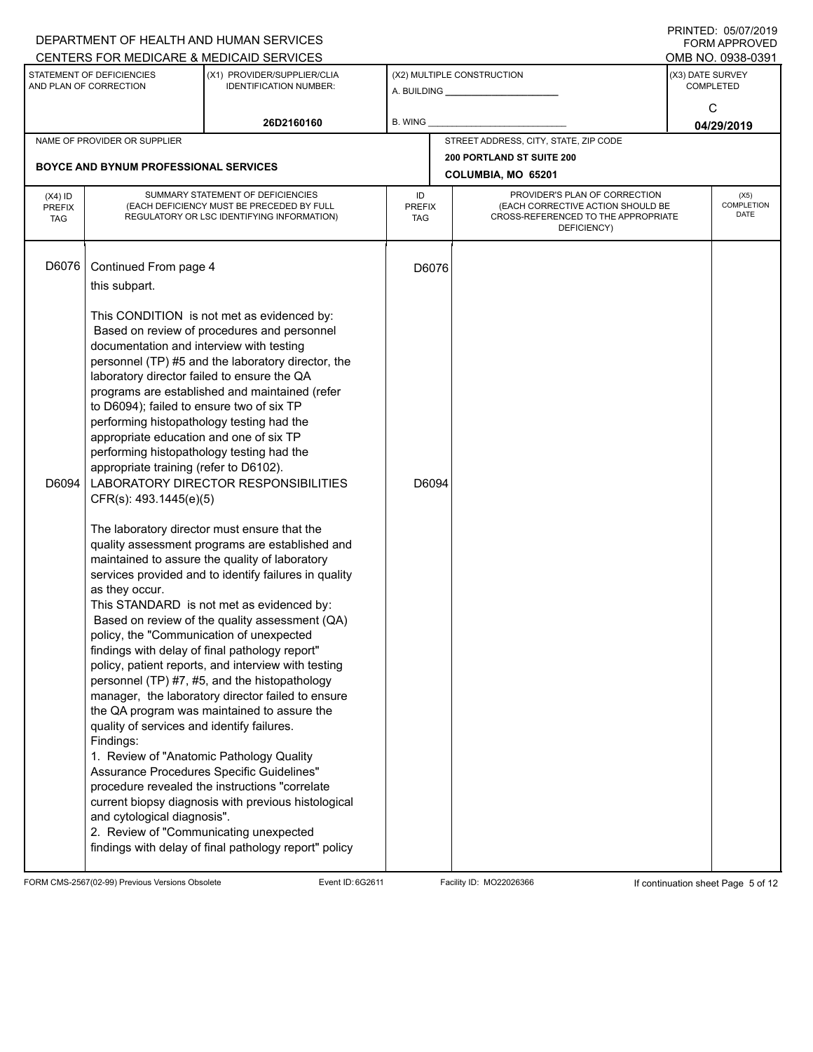|                                          |                                                                                                                                                                                                                                                                                                                                                                                                                                                                                                                                                              | DEPARTMENT OF HEALTH AND HUMAN SERVICES<br>CENTERS FOR MEDICARE & MEDICAID SERVICES                                                                                                                                                                                                                                                                                                                                                                                                                                                                                                                                                                                                                                                                                                                                  |                                   |                                                 |                                                                                                                          |                  | FININILU. VJIVIIZVIJ<br>FORM APPROVED<br>OMB NO. 0938-0391 |
|------------------------------------------|--------------------------------------------------------------------------------------------------------------------------------------------------------------------------------------------------------------------------------------------------------------------------------------------------------------------------------------------------------------------------------------------------------------------------------------------------------------------------------------------------------------------------------------------------------------|----------------------------------------------------------------------------------------------------------------------------------------------------------------------------------------------------------------------------------------------------------------------------------------------------------------------------------------------------------------------------------------------------------------------------------------------------------------------------------------------------------------------------------------------------------------------------------------------------------------------------------------------------------------------------------------------------------------------------------------------------------------------------------------------------------------------|-----------------------------------|-------------------------------------------------|--------------------------------------------------------------------------------------------------------------------------|------------------|------------------------------------------------------------|
|                                          | STATEMENT OF DEFICIENCIES<br>AND PLAN OF CORRECTION                                                                                                                                                                                                                                                                                                                                                                                                                                                                                                          | (X1) PROVIDER/SUPPLIER/CLIA<br><b>IDENTIFICATION NUMBER:</b>                                                                                                                                                                                                                                                                                                                                                                                                                                                                                                                                                                                                                                                                                                                                                         |                                   |                                                 | (X2) MULTIPLE CONSTRUCTION<br>A. BUILDING <b>A.</b> BUILDING                                                             | (X3) DATE SURVEY | <b>COMPLETED</b>                                           |
|                                          |                                                                                                                                                                                                                                                                                                                                                                                                                                                                                                                                                              | 26D2160160                                                                                                                                                                                                                                                                                                                                                                                                                                                                                                                                                                                                                                                                                                                                                                                                           | <b>B. WING</b>                    |                                                 |                                                                                                                          |                  | C<br>04/29/2019                                            |
|                                          | NAME OF PROVIDER OR SUPPLIER                                                                                                                                                                                                                                                                                                                                                                                                                                                                                                                                 |                                                                                                                                                                                                                                                                                                                                                                                                                                                                                                                                                                                                                                                                                                                                                                                                                      |                                   |                                                 | STREET ADDRESS, CITY, STATE, ZIP CODE                                                                                    |                  |                                                            |
|                                          | <b>BOYCE AND BYNUM PROFESSIONAL SERVICES</b>                                                                                                                                                                                                                                                                                                                                                                                                                                                                                                                 |                                                                                                                                                                                                                                                                                                                                                                                                                                                                                                                                                                                                                                                                                                                                                                                                                      |                                   | 200 PORTLAND ST SUITE 200<br>COLUMBIA, MO 65201 |                                                                                                                          |                  |                                                            |
| $(X4)$ ID<br><b>PREFIX</b><br><b>TAG</b> |                                                                                                                                                                                                                                                                                                                                                                                                                                                                                                                                                              | SUMMARY STATEMENT OF DEFICIENCIES<br>(EACH DEFICIENCY MUST BE PRECEDED BY FULL<br>REGULATORY OR LSC IDENTIFYING INFORMATION)                                                                                                                                                                                                                                                                                                                                                                                                                                                                                                                                                                                                                                                                                         | ID<br><b>PREFIX</b><br><b>TAG</b> |                                                 | PROVIDER'S PLAN OF CORRECTION<br>(EACH CORRECTIVE ACTION SHOULD BE<br>CROSS-REFERENCED TO THE APPROPRIATE<br>DEFICIENCY) |                  | (X5)<br>COMPLETION<br><b>DATE</b>                          |
| D6076<br>D6094                           | Continued From page 4<br>this subpart.<br>documentation and interview with testing<br>laboratory director failed to ensure the QA<br>to D6094); failed to ensure two of six TP<br>performing histopathology testing had the<br>appropriate education and one of six TP<br>performing histopathology testing had the<br>appropriate training (refer to D6102).<br>CFR(s): 493.1445(e)(5)<br>as they occur.<br>policy, the "Communication of unexpected<br>quality of services and identify failures.<br>Findings:<br>1. Review of "Anatomic Pathology Quality | This CONDITION is not met as evidenced by:<br>Based on review of procedures and personnel<br>personnel (TP) #5 and the laboratory director, the<br>programs are established and maintained (refer<br>LABORATORY DIRECTOR RESPONSIBILITIES<br>The laboratory director must ensure that the<br>quality assessment programs are established and<br>maintained to assure the quality of laboratory<br>services provided and to identify failures in quality<br>This STANDARD is not met as evidenced by:<br>Based on review of the quality assessment (QA)<br>findings with delay of final pathology report"<br>policy, patient reports, and interview with testing<br>personnel (TP) #7, #5, and the histopathology<br>manager, the laboratory director failed to ensure<br>the QA program was maintained to assure the | D6076<br>D6094                    |                                                 |                                                                                                                          |                  |                                                            |
|                                          | and cytological diagnosis".<br>2. Review of "Communicating unexpected                                                                                                                                                                                                                                                                                                                                                                                                                                                                                        | Assurance Procedures Specific Guidelines"<br>procedure revealed the instructions "correlate<br>current biopsy diagnosis with previous histological<br>findings with delay of final pathology report" policy                                                                                                                                                                                                                                                                                                                                                                                                                                                                                                                                                                                                          |                                   |                                                 |                                                                                                                          |                  |                                                            |

FORM CMS-2567(02-99) Previous Versions Obsolete Event ID: 6G2611 Facility ID: MO22026366 If continuation sheet Page 5 of 12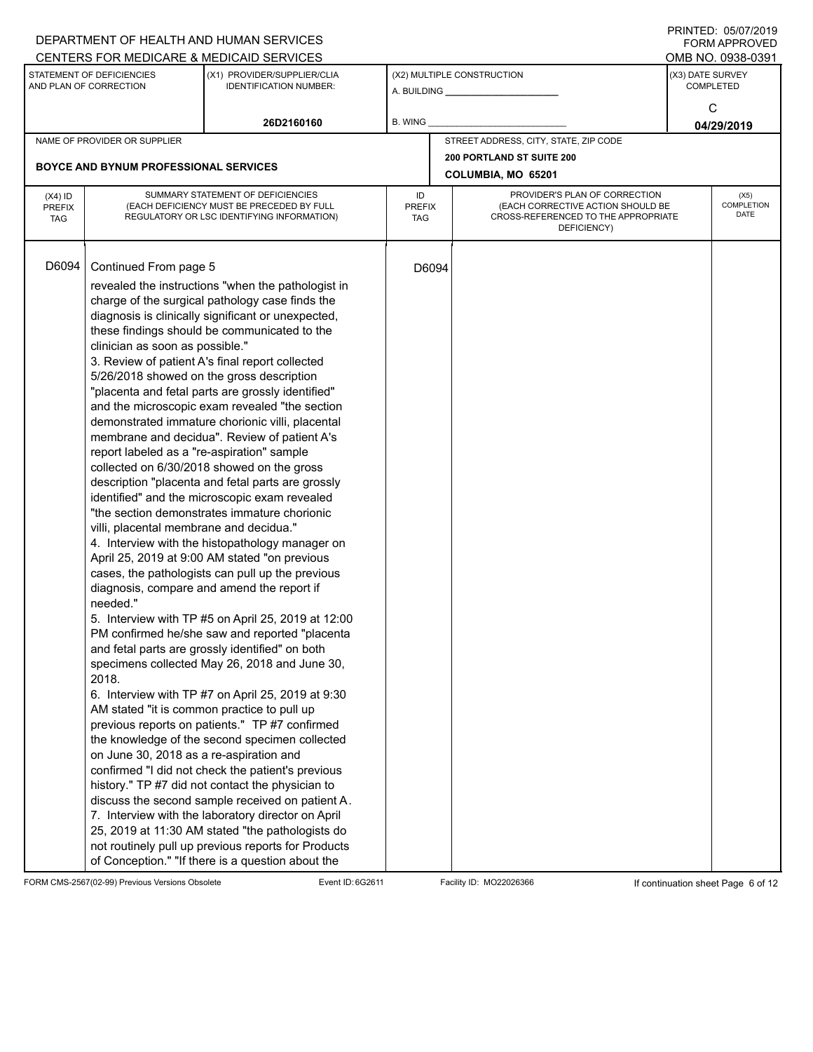|               |                                              | DEPARTMENT OF HEALTH AND HUMAN SERVICES                                                                  |               |       |                                                    |                  | FORM APPROVED      |
|---------------|----------------------------------------------|----------------------------------------------------------------------------------------------------------|---------------|-------|----------------------------------------------------|------------------|--------------------|
|               |                                              | CENTERS FOR MEDICARE & MEDICAID SERVICES                                                                 |               |       |                                                    |                  | OMB NO. 0938-0391  |
|               | STATEMENT OF DEFICIENCIES                    | (X1) PROVIDER/SUPPLIER/CLIA                                                                              |               |       | (X2) MULTIPLE CONSTRUCTION                         |                  | (X3) DATE SURVEY   |
|               | AND PLAN OF CORRECTION                       | <b>IDENTIFICATION NUMBER:</b>                                                                            |               |       | A. BUILDING <b>A.</b> BUILDING                     | <b>COMPLETED</b> |                    |
|               |                                              |                                                                                                          |               |       |                                                    |                  | C                  |
|               |                                              | 26D2160160                                                                                               | B. WING       |       |                                                    |                  | 04/29/2019         |
|               | NAME OF PROVIDER OR SUPPLIER                 |                                                                                                          |               |       | STREET ADDRESS, CITY, STATE, ZIP CODE              |                  |                    |
|               |                                              |                                                                                                          |               |       | 200 PORTLAND ST SUITE 200                          |                  |                    |
|               | <b>BOYCE AND BYNUM PROFESSIONAL SERVICES</b> |                                                                                                          |               |       | COLUMBIA, MO 65201                                 |                  |                    |
| $(X4)$ ID     |                                              | SUMMARY STATEMENT OF DEFICIENCIES                                                                        | ID            |       | PROVIDER'S PLAN OF CORRECTION                      |                  | (X5)               |
| <b>PREFIX</b> |                                              | (EACH DEFICIENCY MUST BE PRECEDED BY FULL                                                                | <b>PREFIX</b> |       | (EACH CORRECTIVE ACTION SHOULD BE                  |                  | COMPLETION<br>DATE |
| <b>TAG</b>    |                                              | REGULATORY OR LSC IDENTIFYING INFORMATION)                                                               | <b>TAG</b>    |       | CROSS-REFERENCED TO THE APPROPRIATE<br>DEFICIENCY) |                  |                    |
|               |                                              |                                                                                                          |               |       |                                                    |                  |                    |
|               |                                              |                                                                                                          |               |       |                                                    |                  |                    |
| D6094         | Continued From page 5                        |                                                                                                          |               | D6094 |                                                    |                  |                    |
|               |                                              | revealed the instructions "when the pathologist in                                                       |               |       |                                                    |                  |                    |
|               |                                              | charge of the surgical pathology case finds the                                                          |               |       |                                                    |                  |                    |
|               |                                              | diagnosis is clinically significant or unexpected,                                                       |               |       |                                                    |                  |                    |
|               | clinician as soon as possible."              | these findings should be communicated to the                                                             |               |       |                                                    |                  |                    |
|               |                                              | 3. Review of patient A's final report collected                                                          |               |       |                                                    |                  |                    |
|               |                                              | 5/26/2018 showed on the gross description                                                                |               |       |                                                    |                  |                    |
|               |                                              | "placenta and fetal parts are grossly identified"                                                        |               |       |                                                    |                  |                    |
|               |                                              | and the microscopic exam revealed "the section                                                           |               |       |                                                    |                  |                    |
|               |                                              | demonstrated immature chorionic villi, placental                                                         |               |       |                                                    |                  |                    |
|               |                                              | membrane and decidua". Review of patient A's                                                             |               |       |                                                    |                  |                    |
|               | report labeled as a "re-aspiration" sample   |                                                                                                          |               |       |                                                    |                  |                    |
|               |                                              | collected on 6/30/2018 showed on the gross                                                               |               |       |                                                    |                  |                    |
|               |                                              | description "placenta and fetal parts are grossly                                                        |               |       |                                                    |                  |                    |
|               |                                              | identified" and the microscopic exam revealed                                                            |               |       |                                                    |                  |                    |
|               |                                              | "the section demonstrates immature chorionic                                                             |               |       |                                                    |                  |                    |
|               | villi, placental membrane and decidua."      |                                                                                                          |               |       |                                                    |                  |                    |
|               |                                              | 4. Interview with the histopathology manager on                                                          |               |       |                                                    |                  |                    |
|               |                                              | April 25, 2019 at 9:00 AM stated "on previous                                                            |               |       |                                                    |                  |                    |
|               |                                              | cases, the pathologists can pull up the previous                                                         |               |       |                                                    |                  |                    |
|               | needed."                                     | diagnosis, compare and amend the report if                                                               |               |       |                                                    |                  |                    |
|               |                                              | 5. Interview with TP #5 on April 25, 2019 at 12:00                                                       |               |       |                                                    |                  |                    |
|               |                                              | PM confirmed he/she saw and reported "placenta                                                           |               |       |                                                    |                  |                    |
|               |                                              | and fetal parts are grossly identified" on both                                                          |               |       |                                                    |                  |                    |
|               |                                              | specimens collected May 26, 2018 and June 30,                                                            |               |       |                                                    |                  |                    |
|               | 2018.                                        |                                                                                                          |               |       |                                                    |                  |                    |
|               |                                              | 6. Interview with TP #7 on April 25, 2019 at 9:30                                                        |               |       |                                                    |                  |                    |
|               |                                              | AM stated "it is common practice to pull up                                                              |               |       |                                                    |                  |                    |
|               |                                              | previous reports on patients." TP #7 confirmed                                                           |               |       |                                                    |                  |                    |
|               |                                              | the knowledge of the second specimen collected                                                           |               |       |                                                    |                  |                    |
|               | on June 30, 2018 as a re-aspiration and      |                                                                                                          |               |       |                                                    |                  |                    |
|               |                                              | confirmed "I did not check the patient's previous                                                        |               |       |                                                    |                  |                    |
|               |                                              | history." TP #7 did not contact the physician to                                                         |               |       |                                                    |                  |                    |
|               |                                              | discuss the second sample received on patient A.                                                         |               |       |                                                    |                  |                    |
|               |                                              | 7. Interview with the laboratory director on April                                                       |               |       |                                                    |                  |                    |
|               |                                              | 25, 2019 at 11:30 AM stated "the pathologists do                                                         |               |       |                                                    |                  |                    |
|               |                                              | not routinely pull up previous reports for Products<br>of Conception." "If there is a question about the |               |       |                                                    |                  |                    |
|               |                                              |                                                                                                          |               |       |                                                    |                  |                    |

FORM CMS-2567(02-99) Previous Versions Obsolete **Event ID: 6G2611** Facility ID: MO22026366 If continuation sheet Page 6 of 12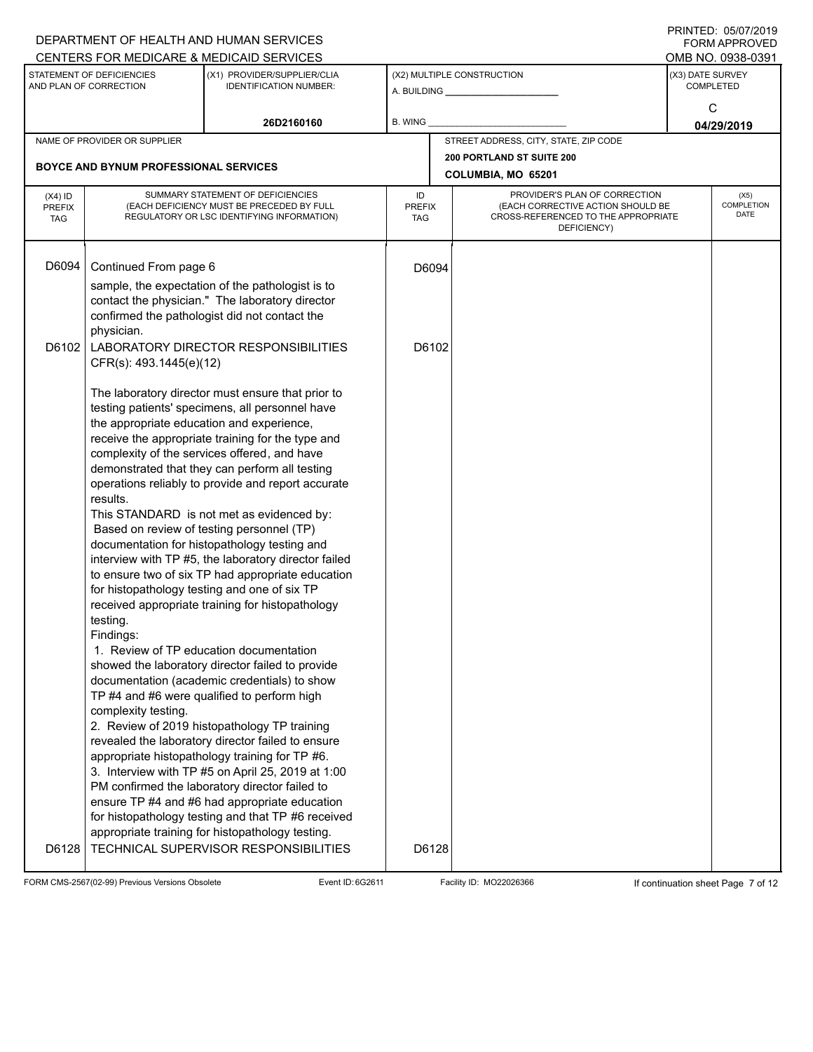|                                                                                                                     |                                                                                                                                                                                                                                                                                                                                                                                                                                                                                                                      | DEPARTMENT OF HEALTH AND HUMAN SERVICES                                                                                                                                                                                                                                                                                                                                                                        |                            |                            |                                                                                                                          |                 | <b>FORM APPROVED</b>              |  |
|---------------------------------------------------------------------------------------------------------------------|----------------------------------------------------------------------------------------------------------------------------------------------------------------------------------------------------------------------------------------------------------------------------------------------------------------------------------------------------------------------------------------------------------------------------------------------------------------------------------------------------------------------|----------------------------------------------------------------------------------------------------------------------------------------------------------------------------------------------------------------------------------------------------------------------------------------------------------------------------------------------------------------------------------------------------------------|----------------------------|----------------------------|--------------------------------------------------------------------------------------------------------------------------|-----------------|-----------------------------------|--|
|                                                                                                                     |                                                                                                                                                                                                                                                                                                                                                                                                                                                                                                                      | CENTERS FOR MEDICARE & MEDICAID SERVICES                                                                                                                                                                                                                                                                                                                                                                       |                            |                            |                                                                                                                          |                 | OMB NO. 0938-0391                 |  |
| STATEMENT OF DEFICIENCIES<br>(X1) PROVIDER/SUPPLIER/CLIA<br>AND PLAN OF CORRECTION<br><b>IDENTIFICATION NUMBER:</b> |                                                                                                                                                                                                                                                                                                                                                                                                                                                                                                                      |                                                                                                                                                                                                                                                                                                                                                                                                                |                            | (X2) MULTIPLE CONSTRUCTION | (X3) DATE SURVEY<br><b>COMPLETED</b>                                                                                     |                 |                                   |  |
|                                                                                                                     |                                                                                                                                                                                                                                                                                                                                                                                                                                                                                                                      | 26D2160160                                                                                                                                                                                                                                                                                                                                                                                                     | <b>B. WING</b>             |                            |                                                                                                                          | C<br>04/29/2019 |                                   |  |
|                                                                                                                     | NAME OF PROVIDER OR SUPPLIER                                                                                                                                                                                                                                                                                                                                                                                                                                                                                         |                                                                                                                                                                                                                                                                                                                                                                                                                |                            |                            | STREET ADDRESS, CITY, STATE, ZIP CODE                                                                                    |                 |                                   |  |
|                                                                                                                     |                                                                                                                                                                                                                                                                                                                                                                                                                                                                                                                      |                                                                                                                                                                                                                                                                                                                                                                                                                |                            |                            | <b>200 PORTLAND ST SUITE 200</b>                                                                                         |                 |                                   |  |
|                                                                                                                     | <b>BOYCE AND BYNUM PROFESSIONAL SERVICES</b>                                                                                                                                                                                                                                                                                                                                                                                                                                                                         |                                                                                                                                                                                                                                                                                                                                                                                                                |                            |                            | COLUMBIA, MO 65201                                                                                                       |                 |                                   |  |
| $(X4)$ ID<br><b>PREFIX</b><br><b>TAG</b>                                                                            |                                                                                                                                                                                                                                                                                                                                                                                                                                                                                                                      | SUMMARY STATEMENT OF DEFICIENCIES<br>(EACH DEFICIENCY MUST BE PRECEDED BY FULL<br>REGULATORY OR LSC IDENTIFYING INFORMATION)                                                                                                                                                                                                                                                                                   | ID<br><b>PREFIX</b><br>TAG |                            | PROVIDER'S PLAN OF CORRECTION<br>(EACH CORRECTIVE ACTION SHOULD BE<br>CROSS-REFERENCED TO THE APPROPRIATE<br>DEFICIENCY) |                 | (X5)<br>COMPLETION<br><b>DATE</b> |  |
| D6094                                                                                                               | Continued From page 6<br>sample, the expectation of the pathologist is to<br>contact the physician." The laboratory director<br>confirmed the pathologist did not contact the<br>physician.                                                                                                                                                                                                                                                                                                                          |                                                                                                                                                                                                                                                                                                                                                                                                                |                            | D6094                      |                                                                                                                          |                 |                                   |  |
| D6102                                                                                                               | CFR(s): 493.1445(e)(12)                                                                                                                                                                                                                                                                                                                                                                                                                                                                                              | LABORATORY DIRECTOR RESPONSIBILITIES                                                                                                                                                                                                                                                                                                                                                                           |                            | D6102                      |                                                                                                                          |                 |                                   |  |
|                                                                                                                     | The laboratory director must ensure that prior to<br>testing patients' specimens, all personnel have<br>the appropriate education and experience,<br>receive the appropriate training for the type and<br>complexity of the services offered, and have<br>demonstrated that they can perform all testing<br>operations reliably to provide and report accurate<br>results.<br>This STANDARD is not met as evidenced by:<br>Based on review of testing personnel (TP)<br>documentation for histopathology testing and |                                                                                                                                                                                                                                                                                                                                                                                                                |                            |                            |                                                                                                                          |                 |                                   |  |
|                                                                                                                     | testing.<br>Findings:                                                                                                                                                                                                                                                                                                                                                                                                                                                                                                | interview with TP #5, the laboratory director failed<br>to ensure two of six TP had appropriate education<br>for histopathology testing and one of six TP<br>received appropriate training for histopathology                                                                                                                                                                                                  |                            |                            |                                                                                                                          |                 |                                   |  |
|                                                                                                                     | complexity testing.                                                                                                                                                                                                                                                                                                                                                                                                                                                                                                  | 1. Review of TP education documentation<br>showed the laboratory director failed to provide<br>documentation (academic credentials) to show<br>TP #4 and #6 were qualified to perform high<br>2. Review of 2019 histopathology TP training                                                                                                                                                                     |                            |                            |                                                                                                                          |                 |                                   |  |
| D6128                                                                                                               |                                                                                                                                                                                                                                                                                                                                                                                                                                                                                                                      | revealed the laboratory director failed to ensure<br>appropriate histopathology training for TP #6.<br>3. Interview with TP #5 on April 25, 2019 at 1:00<br>PM confirmed the laboratory director failed to<br>ensure TP #4 and #6 had appropriate education<br>for histopathology testing and that TP #6 received<br>appropriate training for histopathology testing.<br>TECHNICAL SUPERVISOR RESPONSIBILITIES |                            | D6128                      |                                                                                                                          |                 |                                   |  |

FORM CMS-2567(02-99) Previous Versions Obsolete Event ID: 6G2611 Facility ID: MO22026366 If continuation sheet Page 7 of 12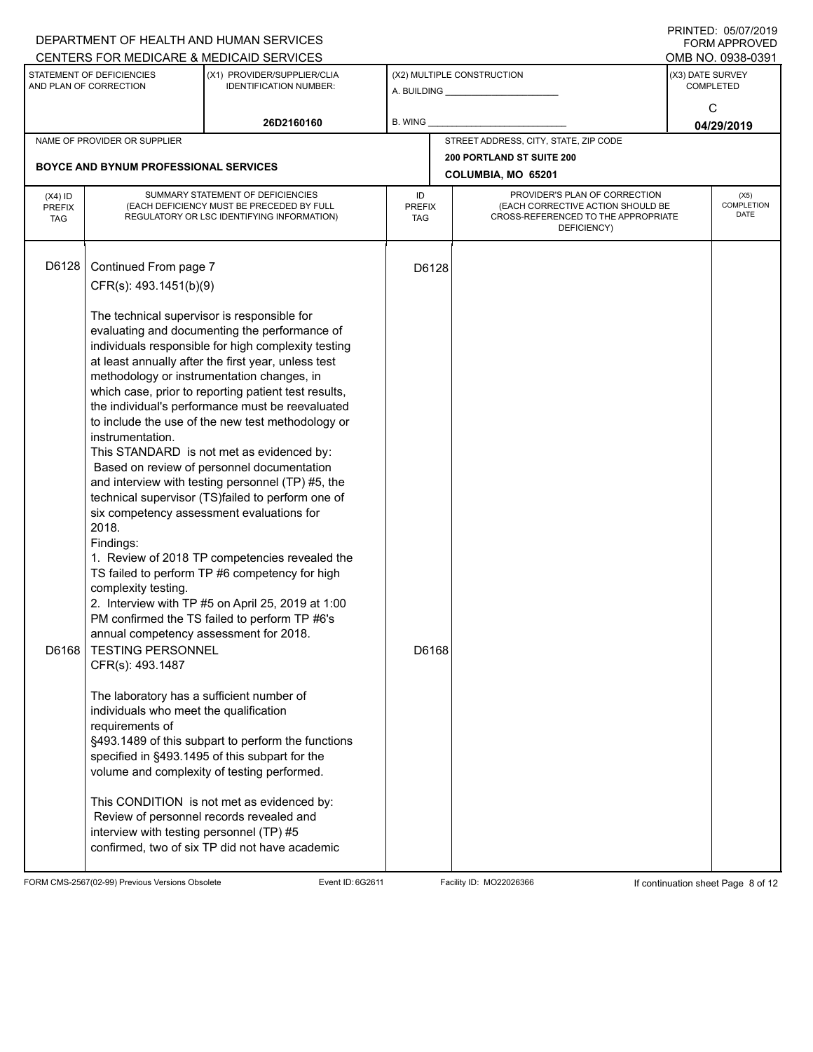|                                          |                                                                                                                                                                                                                                                                                                                                                              | DEPARTMENT OF HEALTH AND HUMAN SERVICES<br>CENTERS FOR MEDICARE & MEDICAID SERVICES                                                                                                                                                                                                                                                                                                                                                                                                                                                                                                                                                                                                                                                                                                                                                                                                                                                                                                                                                                                                                                                       |                            |       |                                                                                                                          |                  | FININILD. VJIVIIZVIJ<br>FORM APPROVED<br>OMB NO. 0938-0391 |  |
|------------------------------------------|--------------------------------------------------------------------------------------------------------------------------------------------------------------------------------------------------------------------------------------------------------------------------------------------------------------------------------------------------------------|-------------------------------------------------------------------------------------------------------------------------------------------------------------------------------------------------------------------------------------------------------------------------------------------------------------------------------------------------------------------------------------------------------------------------------------------------------------------------------------------------------------------------------------------------------------------------------------------------------------------------------------------------------------------------------------------------------------------------------------------------------------------------------------------------------------------------------------------------------------------------------------------------------------------------------------------------------------------------------------------------------------------------------------------------------------------------------------------------------------------------------------------|----------------------------|-------|--------------------------------------------------------------------------------------------------------------------------|------------------|------------------------------------------------------------|--|
|                                          | STATEMENT OF DEFICIENCIES<br>AND PLAN OF CORRECTION                                                                                                                                                                                                                                                                                                          | (X1) PROVIDER/SUPPLIER/CLIA<br><b>IDENTIFICATION NUMBER:</b>                                                                                                                                                                                                                                                                                                                                                                                                                                                                                                                                                                                                                                                                                                                                                                                                                                                                                                                                                                                                                                                                              |                            |       | (X2) MULTIPLE CONSTRUCTION                                                                                               | (X3) DATE SURVEY | <b>COMPLETED</b>                                           |  |
|                                          |                                                                                                                                                                                                                                                                                                                                                              | 26D2160160                                                                                                                                                                                                                                                                                                                                                                                                                                                                                                                                                                                                                                                                                                                                                                                                                                                                                                                                                                                                                                                                                                                                | <b>B. WING</b>             |       |                                                                                                                          | C<br>04/29/2019  |                                                            |  |
|                                          | NAME OF PROVIDER OR SUPPLIER                                                                                                                                                                                                                                                                                                                                 |                                                                                                                                                                                                                                                                                                                                                                                                                                                                                                                                                                                                                                                                                                                                                                                                                                                                                                                                                                                                                                                                                                                                           |                            |       | STREET ADDRESS, CITY, STATE, ZIP CODE                                                                                    |                  |                                                            |  |
|                                          | BOYCE AND BYNUM PROFESSIONAL SERVICES                                                                                                                                                                                                                                                                                                                        |                                                                                                                                                                                                                                                                                                                                                                                                                                                                                                                                                                                                                                                                                                                                                                                                                                                                                                                                                                                                                                                                                                                                           |                            |       | <b>200 PORTLAND ST SUITE 200</b>                                                                                         |                  |                                                            |  |
|                                          |                                                                                                                                                                                                                                                                                                                                                              |                                                                                                                                                                                                                                                                                                                                                                                                                                                                                                                                                                                                                                                                                                                                                                                                                                                                                                                                                                                                                                                                                                                                           |                            |       | COLUMBIA, MO 65201                                                                                                       |                  |                                                            |  |
| $(X4)$ ID<br><b>PREFIX</b><br><b>TAG</b> |                                                                                                                                                                                                                                                                                                                                                              | SUMMARY STATEMENT OF DEFICIENCIES<br>(EACH DEFICIENCY MUST BE PRECEDED BY FULL<br>REGULATORY OR LSC IDENTIFYING INFORMATION)                                                                                                                                                                                                                                                                                                                                                                                                                                                                                                                                                                                                                                                                                                                                                                                                                                                                                                                                                                                                              | ID<br><b>PREFIX</b><br>TAG |       | PROVIDER'S PLAN OF CORRECTION<br>(EACH CORRECTIVE ACTION SHOULD BE<br>CROSS-REFERENCED TO THE APPROPRIATE<br>DEFICIENCY) |                  | (X5)<br>COMPLETION<br><b>DATE</b>                          |  |
| D6128                                    | Continued From page 7<br>CFR(s): 493.1451(b)(9)                                                                                                                                                                                                                                                                                                              |                                                                                                                                                                                                                                                                                                                                                                                                                                                                                                                                                                                                                                                                                                                                                                                                                                                                                                                                                                                                                                                                                                                                           |                            | D6128 |                                                                                                                          |                  |                                                            |  |
| D6168                                    | The technical supervisor is responsible for<br>instrumentation.<br>2018.<br>Findings:<br>complexity testing.<br>annual competency assessment for 2018.<br><b>TESTING PERSONNEL</b><br>CFR(s): 493.1487<br>The laboratory has a sufficient number of<br>individuals who meet the qualification<br>requirements of<br>interview with testing personnel (TP) #5 | evaluating and documenting the performance of<br>individuals responsible for high complexity testing<br>at least annually after the first year, unless test<br>methodology or instrumentation changes, in<br>which case, prior to reporting patient test results,<br>the individual's performance must be reevaluated<br>to include the use of the new test methodology or<br>This STANDARD is not met as evidenced by:<br>Based on review of personnel documentation<br>and interview with testing personnel (TP) #5, the<br>technical supervisor (TS)failed to perform one of<br>six competency assessment evaluations for<br>1. Review of 2018 TP competencies revealed the<br>TS failed to perform TP #6 competency for high<br>2. Interview with TP #5 on April 25, 2019 at 1:00<br>PM confirmed the TS failed to perform TP #6's<br>§493.1489 of this subpart to perform the functions<br>specified in §493.1495 of this subpart for the<br>volume and complexity of testing performed.<br>This CONDITION is not met as evidenced by:<br>Review of personnel records revealed and<br>confirmed, two of six TP did not have academic |                            | D6168 |                                                                                                                          |                  |                                                            |  |

FORM CMS-2567(02-99) Previous Versions Obsolete Event ID: 6G2611 Facility ID: MO22026366 If continuation sheet Page 8 of 12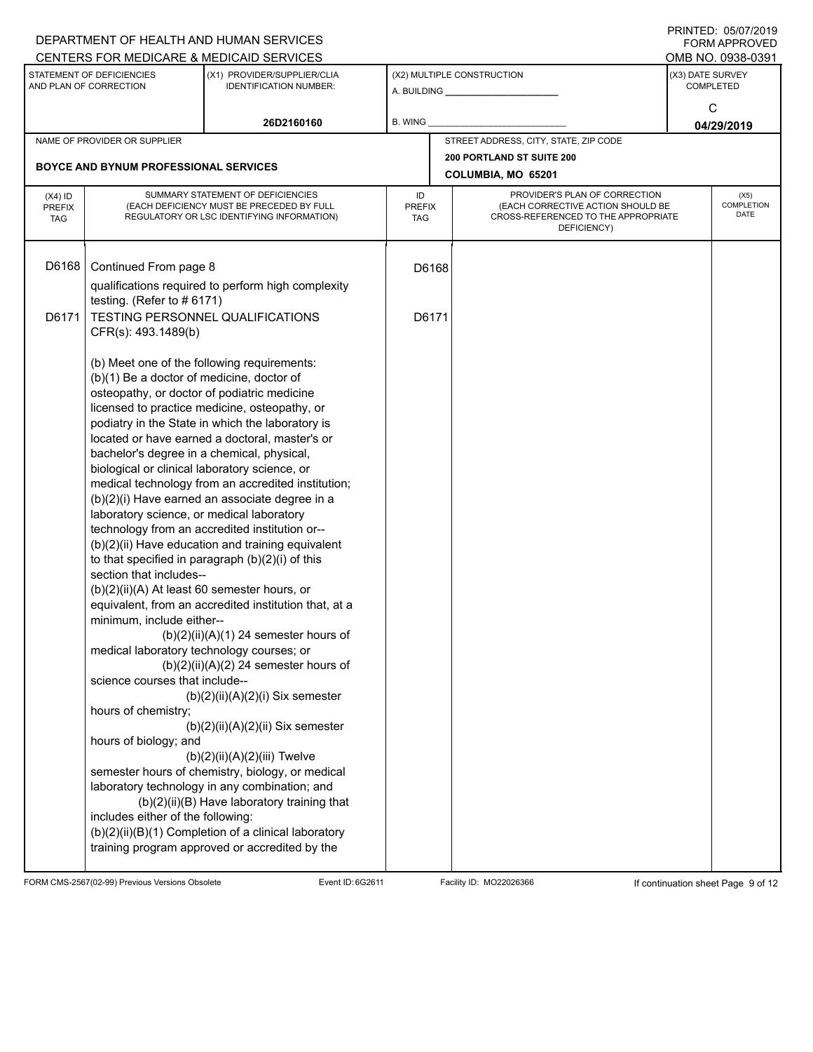|                             |                                                                                          | DEPARTMENT OF HEALTH AND HUMAN SERVICES                                                      |                             |       |                                                                          |                  | FORM APPROVED      |  |
|-----------------------------|------------------------------------------------------------------------------------------|----------------------------------------------------------------------------------------------|-----------------------------|-------|--------------------------------------------------------------------------|------------------|--------------------|--|
|                             |                                                                                          | CENTERS FOR MEDICARE & MEDICAID SERVICES                                                     |                             |       |                                                                          |                  | OMB NO. 0938-0391  |  |
|                             | STATEMENT OF DEFICIENCIES                                                                | (X1) PROVIDER/SUPPLIER/CLIA                                                                  |                             |       | (X2) MULTIPLE CONSTRUCTION                                               | (X3) DATE SURVEY |                    |  |
|                             | AND PLAN OF CORRECTION                                                                   | <b>IDENTIFICATION NUMBER:</b>                                                                |                             |       | A. BUILDING A. BUILDING                                                  |                  | <b>COMPLETED</b>   |  |
|                             |                                                                                          |                                                                                              |                             |       |                                                                          | C                |                    |  |
|                             |                                                                                          | 26D2160160                                                                                   | B. WING                     |       |                                                                          |                  | 04/29/2019         |  |
|                             | NAME OF PROVIDER OR SUPPLIER                                                             |                                                                                              |                             |       | STREET ADDRESS, CITY, STATE, ZIP CODE                                    |                  |                    |  |
|                             | <b>BOYCE AND BYNUM PROFESSIONAL SERVICES</b>                                             |                                                                                              |                             |       | 200 PORTLAND ST SUITE 200                                                |                  |                    |  |
|                             |                                                                                          |                                                                                              |                             |       | COLUMBIA, MO 65201                                                       |                  |                    |  |
| $(X4)$ ID                   | SUMMARY STATEMENT OF DEFICIENCIES                                                        |                                                                                              | ID                          |       | PROVIDER'S PLAN OF CORRECTION                                            |                  | (X5)<br>COMPLETION |  |
| <b>PREFIX</b><br><b>TAG</b> |                                                                                          | (EACH DEFICIENCY MUST BE PRECEDED BY FULL<br>REGULATORY OR LSC IDENTIFYING INFORMATION)      | <b>PREFIX</b><br><b>TAG</b> |       | (EACH CORRECTIVE ACTION SHOULD BE<br>CROSS-REFERENCED TO THE APPROPRIATE |                  | DATE               |  |
|                             |                                                                                          |                                                                                              |                             |       | DEFICIENCY)                                                              |                  |                    |  |
|                             |                                                                                          |                                                                                              |                             |       |                                                                          |                  |                    |  |
| D6168                       | Continued From page 8                                                                    |                                                                                              |                             | D6168 |                                                                          |                  |                    |  |
|                             |                                                                                          | qualifications required to perform high complexity                                           |                             |       |                                                                          |                  |                    |  |
|                             | testing. (Refer to $#6171$ )                                                             |                                                                                              |                             |       |                                                                          |                  |                    |  |
| D6171                       |                                                                                          | TESTING PERSONNEL QUALIFICATIONS                                                             |                             | D6171 |                                                                          |                  |                    |  |
|                             | CFR(s): 493.1489(b)                                                                      |                                                                                              |                             |       |                                                                          |                  |                    |  |
|                             |                                                                                          |                                                                                              |                             |       |                                                                          |                  |                    |  |
|                             |                                                                                          | (b) Meet one of the following requirements:                                                  |                             |       |                                                                          |                  |                    |  |
|                             | (b)(1) Be a doctor of medicine, doctor of<br>osteopathy, or doctor of podiatric medicine |                                                                                              |                             |       |                                                                          |                  |                    |  |
|                             |                                                                                          | licensed to practice medicine, osteopathy, or                                                |                             |       |                                                                          |                  |                    |  |
|                             |                                                                                          | podiatry in the State in which the laboratory is                                             |                             |       |                                                                          |                  |                    |  |
|                             |                                                                                          | located or have earned a doctoral, master's or                                               |                             |       |                                                                          |                  |                    |  |
|                             | bachelor's degree in a chemical, physical,                                               |                                                                                              |                             |       |                                                                          |                  |                    |  |
|                             | biological or clinical laboratory science, or                                            |                                                                                              |                             |       |                                                                          |                  |                    |  |
|                             |                                                                                          | medical technology from an accredited institution;                                           |                             |       |                                                                          |                  |                    |  |
|                             |                                                                                          | (b)(2)(i) Have earned an associate degree in a                                               |                             |       |                                                                          |                  |                    |  |
|                             | laboratory science, or medical laboratory                                                | technology from an accredited institution or--                                               |                             |       |                                                                          |                  |                    |  |
|                             |                                                                                          | (b)(2)(ii) Have education and training equivalent                                            |                             |       |                                                                          |                  |                    |  |
|                             |                                                                                          | to that specified in paragraph (b)(2)(i) of this                                             |                             |       |                                                                          |                  |                    |  |
|                             | section that includes--                                                                  |                                                                                              |                             |       |                                                                          |                  |                    |  |
|                             | (b)(2)(ii)(A) At least 60 semester hours, or                                             |                                                                                              |                             |       |                                                                          |                  |                    |  |
|                             |                                                                                          | equivalent, from an accredited institution that, at a                                        |                             |       |                                                                          |                  |                    |  |
|                             | minimum, include either--                                                                |                                                                                              |                             |       |                                                                          |                  |                    |  |
|                             |                                                                                          | $(b)(2)(ii)(A)(1)$ 24 semester hours of                                                      |                             |       |                                                                          |                  |                    |  |
|                             | medical laboratory technology courses; or                                                | $(b)(2)(ii)(A)(2)$ 24 semester hours of                                                      |                             |       |                                                                          |                  |                    |  |
|                             | science courses that include--                                                           |                                                                                              |                             |       |                                                                          |                  |                    |  |
|                             |                                                                                          | $(b)(2)(ii)(A)(2)(i)$ Six semester                                                           |                             |       |                                                                          |                  |                    |  |
|                             | hours of chemistry;                                                                      |                                                                                              |                             |       |                                                                          |                  |                    |  |
|                             |                                                                                          | $(b)(2)(ii)(A)(2)(ii)$ Six semester                                                          |                             |       |                                                                          |                  |                    |  |
|                             | hours of biology; and                                                                    |                                                                                              |                             |       |                                                                          |                  |                    |  |
|                             |                                                                                          | $(b)(2)(ii)(A)(2)(iii)$ Twelve                                                               |                             |       |                                                                          |                  |                    |  |
|                             |                                                                                          | semester hours of chemistry, biology, or medical                                             |                             |       |                                                                          |                  |                    |  |
|                             |                                                                                          | laboratory technology in any combination; and<br>(b)(2)(ii)(B) Have laboratory training that |                             |       |                                                                          |                  |                    |  |
|                             | includes either of the following:                                                        |                                                                                              |                             |       |                                                                          |                  |                    |  |
|                             |                                                                                          | (b)(2)(ii)(B)(1) Completion of a clinical laboratory                                         |                             |       |                                                                          |                  |                    |  |
|                             |                                                                                          | training program approved or accredited by the                                               |                             |       |                                                                          |                  |                    |  |
|                             |                                                                                          |                                                                                              |                             |       |                                                                          |                  |                    |  |

FORM CMS-2567(02-99) Previous Versions Obsolete Event ID: 6G2611 Facility ID: MO22026366 If continuation sheet Page 9 of 12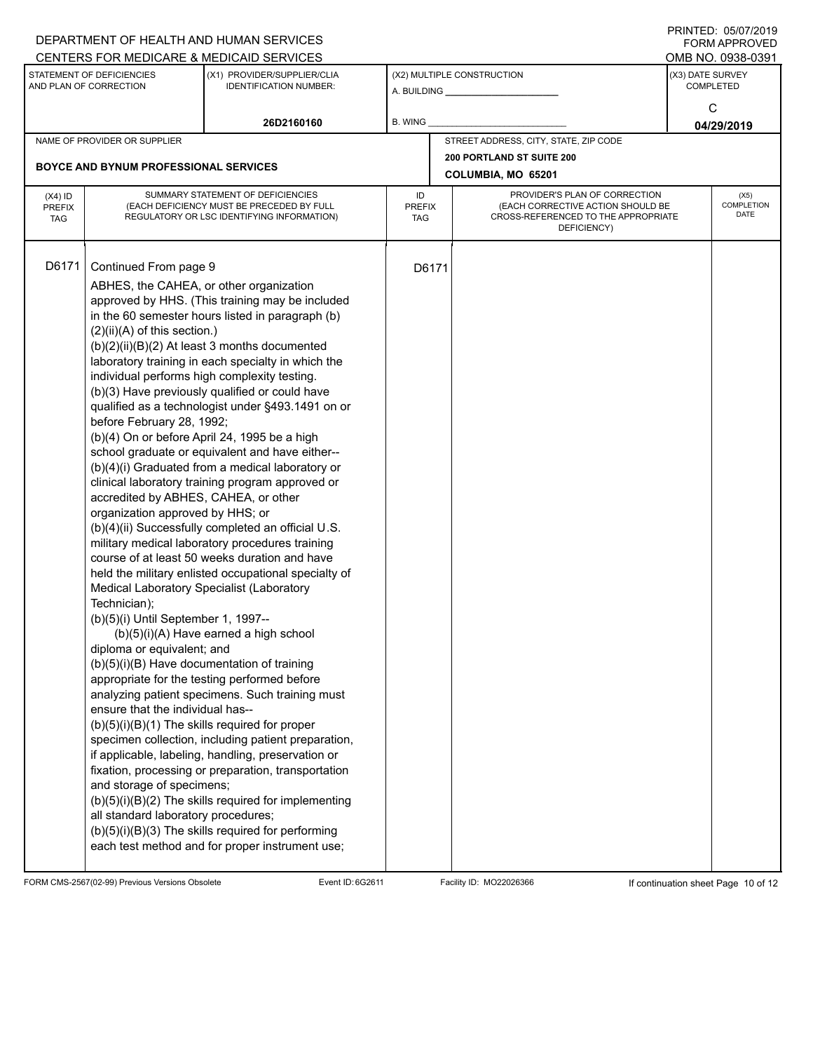|                             |                                                                                | DEPARTMENT OF HEALTH AND HUMAN SERVICES                                                                 |               |       |                                                                    |                  | 11111111122.0000112013<br><b>FORM APPROVED</b> |  |
|-----------------------------|--------------------------------------------------------------------------------|---------------------------------------------------------------------------------------------------------|---------------|-------|--------------------------------------------------------------------|------------------|------------------------------------------------|--|
|                             | STATEMENT OF DEFICIENCIES                                                      | CENTERS FOR MEDICARE & MEDICAID SERVICES<br>(X1) PROVIDER/SUPPLIER/CLIA                                 |               |       | (X2) MULTIPLE CONSTRUCTION                                         | (X3) DATE SURVEY | OMB NO. 0938-0391                              |  |
|                             | AND PLAN OF CORRECTION                                                         | <b>IDENTIFICATION NUMBER:</b>                                                                           |               |       | A. BUILDING A. BUILDING                                            |                  | <b>COMPLETED</b>                               |  |
|                             |                                                                                |                                                                                                         |               |       |                                                                    | C                |                                                |  |
|                             |                                                                                | 26D2160160                                                                                              | B. WING       |       |                                                                    |                  | 04/29/2019                                     |  |
|                             | NAME OF PROVIDER OR SUPPLIER                                                   |                                                                                                         |               |       | STREET ADDRESS, CITY, STATE, ZIP CODE                              |                  |                                                |  |
|                             | <b>BOYCE AND BYNUM PROFESSIONAL SERVICES</b>                                   |                                                                                                         |               |       | 200 PORTLAND ST SUITE 200                                          |                  |                                                |  |
|                             |                                                                                |                                                                                                         |               |       | COLUMBIA, MO 65201                                                 |                  |                                                |  |
| $(X4)$ ID                   | SUMMARY STATEMENT OF DEFICIENCIES<br>(EACH DEFICIENCY MUST BE PRECEDED BY FULL |                                                                                                         |               |       | PROVIDER'S PLAN OF CORRECTION<br>(EACH CORRECTIVE ACTION SHOULD BE |                  | (X5)<br><b>COMPLETION</b>                      |  |
| <b>PREFIX</b><br><b>TAG</b> |                                                                                | REGULATORY OR LSC IDENTIFYING INFORMATION)                                                              | PREFIX<br>TAG |       | CROSS-REFERENCED TO THE APPROPRIATE                                |                  | DATE                                           |  |
|                             |                                                                                |                                                                                                         |               |       | DEFICIENCY)                                                        |                  |                                                |  |
|                             |                                                                                |                                                                                                         |               |       |                                                                    |                  |                                                |  |
| D6171                       | Continued From page 9                                                          |                                                                                                         |               | D6171 |                                                                    |                  |                                                |  |
|                             | ABHES, the CAHEA, or other organization                                        |                                                                                                         |               |       |                                                                    |                  |                                                |  |
|                             |                                                                                | approved by HHS. (This training may be included<br>in the 60 semester hours listed in paragraph (b)     |               |       |                                                                    |                  |                                                |  |
|                             | $(2)(ii)(A)$ of this section.)                                                 |                                                                                                         |               |       |                                                                    |                  |                                                |  |
|                             |                                                                                | (b)(2)(ii)(B)(2) At least 3 months documented                                                           |               |       |                                                                    |                  |                                                |  |
|                             |                                                                                | laboratory training in each specialty in which the                                                      |               |       |                                                                    |                  |                                                |  |
|                             |                                                                                | individual performs high complexity testing.                                                            |               |       |                                                                    |                  |                                                |  |
|                             |                                                                                | (b)(3) Have previously qualified or could have                                                          |               |       |                                                                    |                  |                                                |  |
|                             | before February 28, 1992;                                                      | qualified as a technologist under §493.1491 on or                                                       |               |       |                                                                    |                  |                                                |  |
|                             |                                                                                | (b)(4) On or before April 24, 1995 be a high                                                            |               |       |                                                                    |                  |                                                |  |
|                             |                                                                                | school graduate or equivalent and have either--                                                         |               |       |                                                                    |                  |                                                |  |
|                             |                                                                                | (b)(4)(i) Graduated from a medical laboratory or                                                        |               |       |                                                                    |                  |                                                |  |
|                             |                                                                                | clinical laboratory training program approved or                                                        |               |       |                                                                    |                  |                                                |  |
|                             | accredited by ABHES, CAHEA, or other                                           |                                                                                                         |               |       |                                                                    |                  |                                                |  |
|                             | organization approved by HHS; or                                               | (b)(4)(ii) Successfully completed an official U.S.                                                      |               |       |                                                                    |                  |                                                |  |
|                             |                                                                                | military medical laboratory procedures training                                                         |               |       |                                                                    |                  |                                                |  |
|                             |                                                                                | course of at least 50 weeks duration and have                                                           |               |       |                                                                    |                  |                                                |  |
|                             |                                                                                | held the military enlisted occupational specialty of                                                    |               |       |                                                                    |                  |                                                |  |
|                             | Medical Laboratory Specialist (Laboratory                                      |                                                                                                         |               |       |                                                                    |                  |                                                |  |
|                             | Technician);                                                                   |                                                                                                         |               |       |                                                                    |                  |                                                |  |
|                             | (b)(5)(i) Until September 1, 1997--                                            | (b)(5)(i)(A) Have earned a high school                                                                  |               |       |                                                                    |                  |                                                |  |
|                             | diploma or equivalent; and                                                     |                                                                                                         |               |       |                                                                    |                  |                                                |  |
|                             |                                                                                | (b)(5)(i)(B) Have documentation of training                                                             |               |       |                                                                    |                  |                                                |  |
|                             |                                                                                | appropriate for the testing performed before                                                            |               |       |                                                                    |                  |                                                |  |
|                             |                                                                                | analyzing patient specimens. Such training must                                                         |               |       |                                                                    |                  |                                                |  |
|                             | ensure that the individual has--                                               |                                                                                                         |               |       |                                                                    |                  |                                                |  |
|                             |                                                                                | $(b)(5)(i)(B)(1)$ The skills required for proper<br>specimen collection, including patient preparation, |               |       |                                                                    |                  |                                                |  |
|                             |                                                                                | if applicable, labeling, handling, preservation or                                                      |               |       |                                                                    |                  |                                                |  |
|                             |                                                                                | fixation, processing or preparation, transportation                                                     |               |       |                                                                    |                  |                                                |  |
|                             | and storage of specimens;                                                      |                                                                                                         |               |       |                                                                    |                  |                                                |  |
|                             |                                                                                | $(b)(5)(i)(B)(2)$ The skills required for implementing                                                  |               |       |                                                                    |                  |                                                |  |
|                             | all standard laboratory procedures;                                            |                                                                                                         |               |       |                                                                    |                  |                                                |  |
|                             |                                                                                | (b)(5)(i)(B)(3) The skills required for performing<br>each test method and for proper instrument use;   |               |       |                                                                    |                  |                                                |  |
|                             |                                                                                |                                                                                                         |               |       |                                                                    |                  |                                                |  |

FORM CMS-2567(02-99) Previous Versions Obsolete Event ID: 6G2611 Facility ID: MO22026366 If continuation sheet Page 10 of 12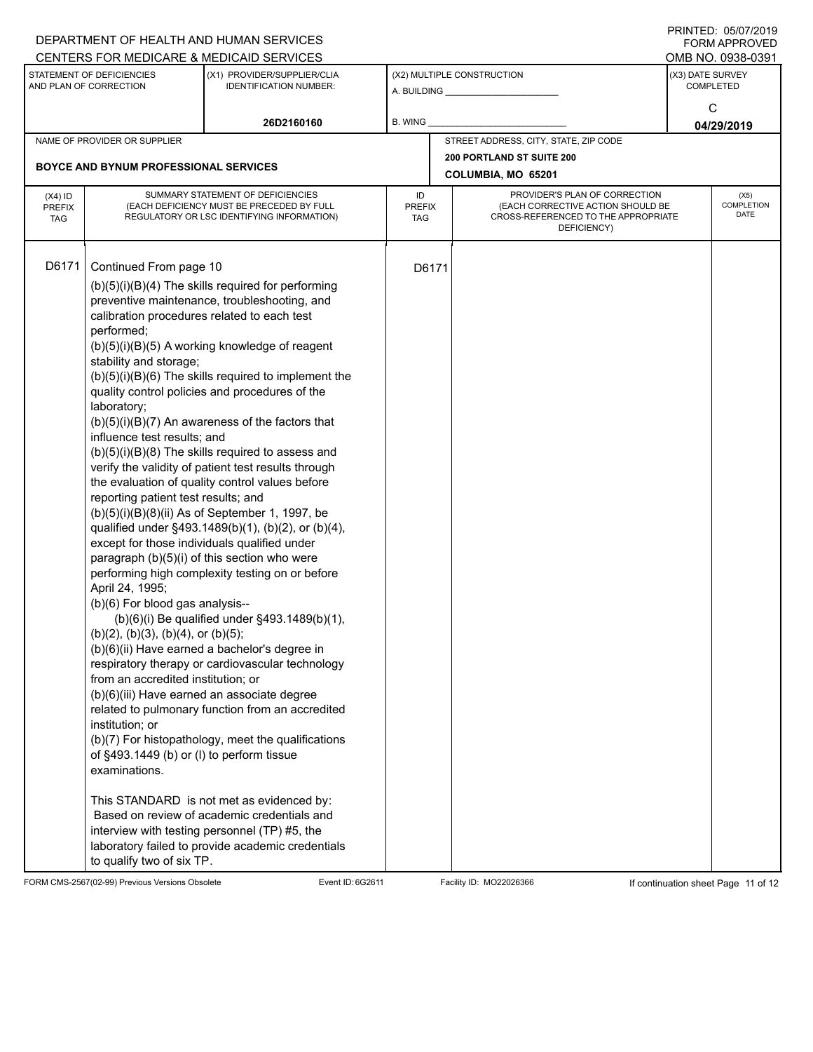|                                          |                                                                                                                                                                                                                                                                                                                                                                                                                 | DEPARTMENT OF HEALTH AND HUMAN SERVICES<br>CENTERS FOR MEDICARE & MEDICAID SERVICES                                                                                                                                                                                                                                                                                                                                                                                                                                                                                                                                                                                                                                                                                                                                                                                                                                                                                                                                                                                                                                                                                                                                                                                                                                      |                            |       |                                                                                                                          | FININILU. VJIVIIZVIJ<br><b>FORM APPROVED</b><br>OMB NO. 0938-0391 |
|------------------------------------------|-----------------------------------------------------------------------------------------------------------------------------------------------------------------------------------------------------------------------------------------------------------------------------------------------------------------------------------------------------------------------------------------------------------------|--------------------------------------------------------------------------------------------------------------------------------------------------------------------------------------------------------------------------------------------------------------------------------------------------------------------------------------------------------------------------------------------------------------------------------------------------------------------------------------------------------------------------------------------------------------------------------------------------------------------------------------------------------------------------------------------------------------------------------------------------------------------------------------------------------------------------------------------------------------------------------------------------------------------------------------------------------------------------------------------------------------------------------------------------------------------------------------------------------------------------------------------------------------------------------------------------------------------------------------------------------------------------------------------------------------------------|----------------------------|-------|--------------------------------------------------------------------------------------------------------------------------|-------------------------------------------------------------------|
|                                          | STATEMENT OF DEFICIENCIES<br>AND PLAN OF CORRECTION                                                                                                                                                                                                                                                                                                                                                             | (X1) PROVIDER/SUPPLIER/CLIA<br><b>IDENTIFICATION NUMBER:</b>                                                                                                                                                                                                                                                                                                                                                                                                                                                                                                                                                                                                                                                                                                                                                                                                                                                                                                                                                                                                                                                                                                                                                                                                                                                             |                            |       | (X2) MULTIPLE CONSTRUCTION                                                                                               | (X3) DATE SURVEY<br><b>COMPLETED</b>                              |
|                                          |                                                                                                                                                                                                                                                                                                                                                                                                                 | 26D2160160                                                                                                                                                                                                                                                                                                                                                                                                                                                                                                                                                                                                                                                                                                                                                                                                                                                                                                                                                                                                                                                                                                                                                                                                                                                                                                               | <b>B. WING</b>             |       |                                                                                                                          | C<br>04/29/2019                                                   |
|                                          | NAME OF PROVIDER OR SUPPLIER                                                                                                                                                                                                                                                                                                                                                                                    |                                                                                                                                                                                                                                                                                                                                                                                                                                                                                                                                                                                                                                                                                                                                                                                                                                                                                                                                                                                                                                                                                                                                                                                                                                                                                                                          |                            |       | STREET ADDRESS, CITY, STATE, ZIP CODE                                                                                    |                                                                   |
|                                          | <b>BOYCE AND BYNUM PROFESSIONAL SERVICES</b>                                                                                                                                                                                                                                                                                                                                                                    |                                                                                                                                                                                                                                                                                                                                                                                                                                                                                                                                                                                                                                                                                                                                                                                                                                                                                                                                                                                                                                                                                                                                                                                                                                                                                                                          |                            |       | <b>200 PORTLAND ST SUITE 200</b><br>COLUMBIA, MO 65201                                                                   |                                                                   |
| $(X4)$ ID<br><b>PREFIX</b><br><b>TAG</b> |                                                                                                                                                                                                                                                                                                                                                                                                                 | SUMMARY STATEMENT OF DEFICIENCIES<br>(EACH DEFICIENCY MUST BE PRECEDED BY FULL<br>REGULATORY OR LSC IDENTIFYING INFORMATION)                                                                                                                                                                                                                                                                                                                                                                                                                                                                                                                                                                                                                                                                                                                                                                                                                                                                                                                                                                                                                                                                                                                                                                                             | ID<br><b>PREFIX</b><br>TAG |       | PROVIDER'S PLAN OF CORRECTION<br>(EACH CORRECTIVE ACTION SHOULD BE<br>CROSS-REFERENCED TO THE APPROPRIATE<br>DEFICIENCY) | (X5)<br>COMPLETION<br><b>DATE</b>                                 |
| D6171                                    | Continued From page 10<br>performed;<br>stability and storage;<br>laboratory;<br>influence test results; and<br>reporting patient test results; and<br>April 24, 1995;<br>(b)(6) For blood gas analysis--<br>$(b)(2)$ , $(b)(3)$ , $(b)(4)$ , or $(b)(5)$ ;<br>from an accredited institution; or<br>institution; or<br>of §493.1449 (b) or (l) to perform tissue<br>examinations.<br>to qualify two of six TP. | $(b)(5)(i)(B)(4)$ The skills required for performing<br>preventive maintenance, troubleshooting, and<br>calibration procedures related to each test<br>$(b)(5)(i)(B)(5)$ A working knowledge of reagent<br>$(b)(5)(i)(B)(6)$ The skills required to implement the<br>quality control policies and procedures of the<br>$(b)(5)(i)(B)(7)$ An awareness of the factors that<br>$(b)(5)(i)(B)(8)$ The skills required to assess and<br>verify the validity of patient test results through<br>the evaluation of quality control values before<br>(b)(5)(i)(B)(8)(ii) As of September 1, 1997, be<br>qualified under §493.1489(b)(1), (b)(2), or (b)(4),<br>except for those individuals qualified under<br>paragraph (b)(5)(i) of this section who were<br>performing high complexity testing on or before<br>(b)(6)(i) Be qualified under §493.1489(b)(1),<br>(b)(6)(ii) Have earned a bachelor's degree in<br>respiratory therapy or cardiovascular technology<br>(b)(6)(iii) Have earned an associate degree<br>related to pulmonary function from an accredited<br>(b)(7) For histopathology, meet the qualifications<br>This STANDARD is not met as evidenced by:<br>Based on review of academic credentials and<br>interview with testing personnel (TP) #5, the<br>laboratory failed to provide academic credentials |                            | D6171 |                                                                                                                          |                                                                   |

FORM CMS-2567(02-99) Previous Versions Obsolete Event ID: 6G2611 Facility ID: MO22026366 If continuation sheet Page 11 of 12